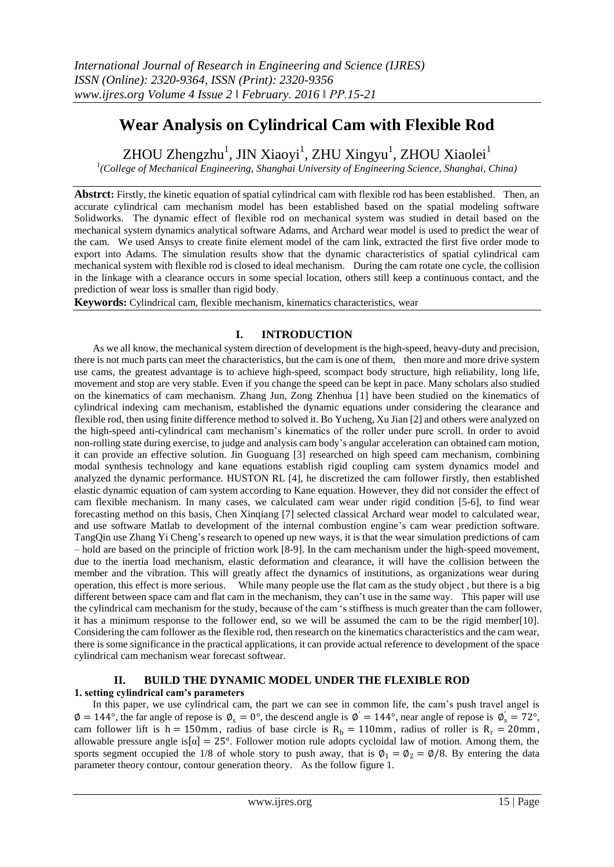# **Wear Analysis on Cylindrical Cam with Flexible Rod**

ZHOU Zhengzhu<sup>1</sup>, JIN Xiaoyi<sup>1</sup>, ZHU Xingyu<sup>1</sup>, ZHOU Xiaolei<sup>1</sup>

*1 (College of Mechanical Engineering, Shanghai University of Engineering Science, Shanghai, China)*

Abstrct: Firstly, the kinetic equation of spatial cylindrical cam with flexible rod has been established. Then, an accurate cylindrical cam mechanism model has been established based on the spatial modeling software Solidworks. The dynamic effect of flexible rod on mechanical system was studied in detail based on the mechanical system dynamics analytical software Adams, and Archard wear model is used to predict the wear of the cam. We used Ansys to create finite element model of the cam link, extracted the first five order mode to export into Adams. The simulation results show that the dynamic characteristics of spatial cylindrical cam mechanical system with flexible rod is closed to ideal mechanism. During the cam rotate one cycle, the collision in the linkage with a clearance occurs in some special location, others still keep a continuous contact, and the prediction of wear loss is smaller than rigid body.

**Keywords:** Cylindrical cam, flexible mechanism, kinematics characteristics, wear

## **I. INTRODUCTION**

As we all know, the mechanical system direction of development is the high-speed, heavy-duty and precision, there is not much parts can meet the characteristics, but the cam is one of them, then more and more drive system use cams, the greatest advantage is to achieve high-speed, scompact body structure, high reliability, long life, movement and stop are very stable. Even if you change the speed can be kept in pace. Many scholars also studied on the kinematics of cam mechanism. Zhang Jun, Zong Zhenhua [1] have been studied on the kinematics of cylindrical indexing cam mechanism, established the dynamic equations under considering the clearance and flexible rod, then using finite difference method to solved it. Bo Yucheng, Xu Jian [2] and others were analyzed on the high-speed anti-cylindrical cam mechanism's kinematics of the roller under pure scroll. In order to avoid non-rolling state during exercise, to judge and analysis cam body's angular acceleration can obtained cam motion, it can provide an effective solution. Jin Guoguang [3] researched on high speed cam mechanism, combining modal synthesis technology and kane equations establish rigid coupling cam system dynamics model and analyzed the dynamic performance. HUSTON RL [4], he discretized the cam follower firstly, then established elastic dynamic equation of cam system according to Kane equation. However, they did not consider the effect of cam flexible mechanism. In many cases, we calculated cam wear under rigid condition [5-6], to find wear forecasting method on this basis, Chen Xinqiang [7] selected classical Archard wear model to calculated wear, and use software Matlab to development of the internal combustion engine's cam wear prediction software. TangQin use Zhang Yi Cheng's research to opened up new ways, it is that the wear simulation predictions of cam – hold are based on the principle of friction work [8-9]. In the cam mechanism under the high-speed movement, due to the inertia load mechanism, elastic deformation and clearance, it will have the collision between the member and the vibration. This will greatly affect the dynamics of institutions, as organizations wear during operation, this effect is more serious. While many people use the flat cam as the study object , but there is a big different between space cam and flat cam in the mechanism, they can't use in the same way. This paper will use the cylindrical cam mechanism for the study, because of the cam 's stiffness is much greater than the cam follower, it has a minimum response to the follower end, so we will be assumed the cam to be the rigid member[10]. Considering the cam follower as the flexible rod, then research on the kinematics characteristics and the cam wear, there is some significance in the practical applications, it can provide actual reference to development of the space cylindrical cam mechanism wear forecast softwear.

# **II. BUILD THE DYNAMIC MODEL UNDER THE FLEXIBLE ROD**

### **1. setting cylindrical cam's parameters**

In this paper, we use cylindrical cam, the part we can see in common life, the cam's push travel angel is  $\emptyset = 144^{\circ}$ , the far angle of repose is  $\emptyset_s = 0^{\circ}$ , the descend angle is  $\emptyset' = 144^{\circ}$ , near angle of repose is  $\emptyset'_{s} = 72^{\circ}$ , cam follower lift is h = 150mm, radius of base circle is  $R_b = 110$ mm, radius of roller is  $R_r = 20$ mm, allowable pressure angle is  $\alpha$  = 25°. Follower motion rule adopts cycloidal law of motion. Among them, the sports segment occupied the 1/8 of whole story to push away, that is  $\phi_1 = \phi_2 = \phi/8$ . By entering the data parameter theory contour, contour generation theory. As the follow figure 1.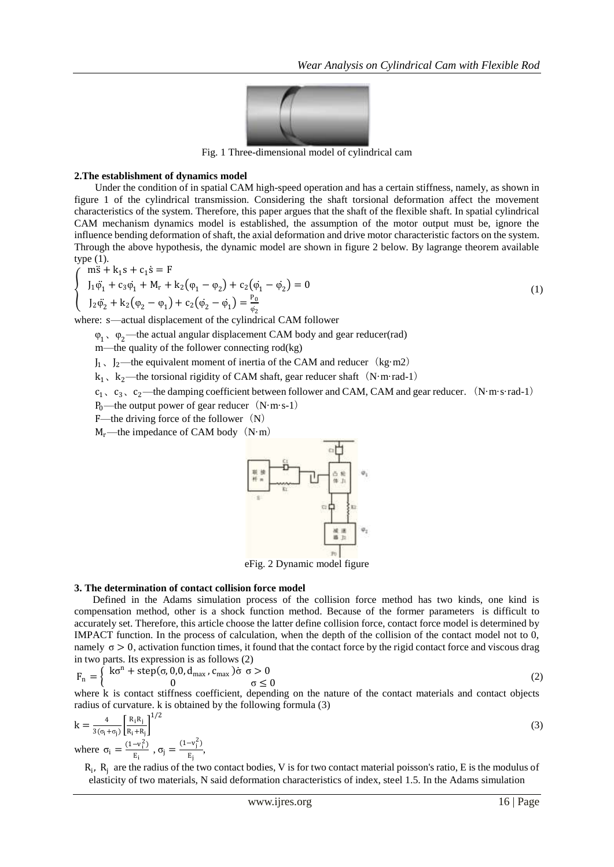

Fig. 1 Three-dimensional model of cylindrical cam

#### **2.The establishment of dynamics model**

Under the condition of in spatial CAM high-speed operation and has a certain stiffness, namely, as shown in figure 1 of the cylindrical transmission. Considering the shaft torsional deformation affect the movement characteristics of the system. Therefore, this paper argues that the shaft of the flexible shaft. In spatial cylindrical CAM mechanism dynamics model is established, the assumption of the motor output must be, ignore the influence bending deformation of shaft, the axial deformation and drive motor characteristic factors on the system. Through the above hypothesis, the dynamic model are shown in figure 2 below. By lagrange theorem available type (1).

$$
\begin{cases}\n\overrightarrow{n}S + k_1S + c_1\dot{S} = F \\
I_1\ddot{\varphi}_1 + c_3\dot{\varphi}_1 + M_r + k_2(\varphi_1 - \varphi_2) + c_2(\dot{\varphi}_1 - \dot{\varphi}_2) = 0 \\
I_2\ddot{\varphi}_2 + k_2(\varphi_2 - \varphi_1) + c_2(\dot{\varphi}_2 - \dot{\varphi}_1) = \frac{P_0}{\varphi_2}\n\end{cases}
$$
\n(1)

where: s—actual displacement of the cylindrical CAM follower

 $\varphi_1$ ,  $\varphi_2$ —the actual angular displacement CAM body and gear reducer(rad)

m—the quality of the follower connecting rod(kg)

 $J_1$ ,  $J_2$ —the equivalent moment of inertia of the CAM and reducer (kg·m2)

 $k_1$ ,  $k_2$ —the torsional rigidity of CAM shaft, gear reducer shaft (N·m·rad-1)

 $c_1$ ,  $c_3$ ,  $c_2$ —the damping coefficient between follower and CAM, CAM and gear reducer. (N·m·s·rad-1)

P<sub>0</sub>—the output power of gear reducer  $(N·m·s-1)$ 

F—the driving force of the follower $(N)$ 

 $M_r$ —the impedance of CAM body (N·m)



eFig. 2 Dynamic model figure

#### **3. The determination of contact collision force model**

Defined in the Adams simulation process of the collision force method has two kinds, one kind is compensation method, other is a shock function method. Because of the former parameters is difficult to accurately set. Therefore, this article choose the latter define collision force, contact force model is determined by IMPACT function. In the process of calculation, when the depth of the collision of the contact model not to 0, namely  $\sigma > 0$ , activation function times, it found that the contact force by the rigid contact force and viscous drag in two parts. Its expression is as follows (2)

$$
F_n = \begin{cases} k\sigma^n + \text{step}(\sigma, 0, 0, d_{\text{max}}, c_{\text{max}}) \dot{\sigma} \quad \sigma > 0\\ 0 & \sigma \le 0 \end{cases}
$$
 (2)

where k is contact stiffness coefficient, depending on the nature of the contact materials and contact objects radius of curvature. k is obtained by the following formula (3)

$$
k = \frac{4}{3(\sigma_i + \sigma_j)} \left[ \frac{R_i R_j}{R_i + R_j} \right]^{1/2}
$$
  
where  $\sigma_i = \frac{(1 - v_i^2)}{E_i}, \sigma_j = \frac{(1 - v_j^2)}{E_j},$  (3)

 $R_i$ ,  $R_j$  are the radius of the two contact bodies, V is for two contact material poisson's ratio, E is the modulus of elasticity of two materials, N said deformation characteristics of index, steel 1.5. In the Adams simulation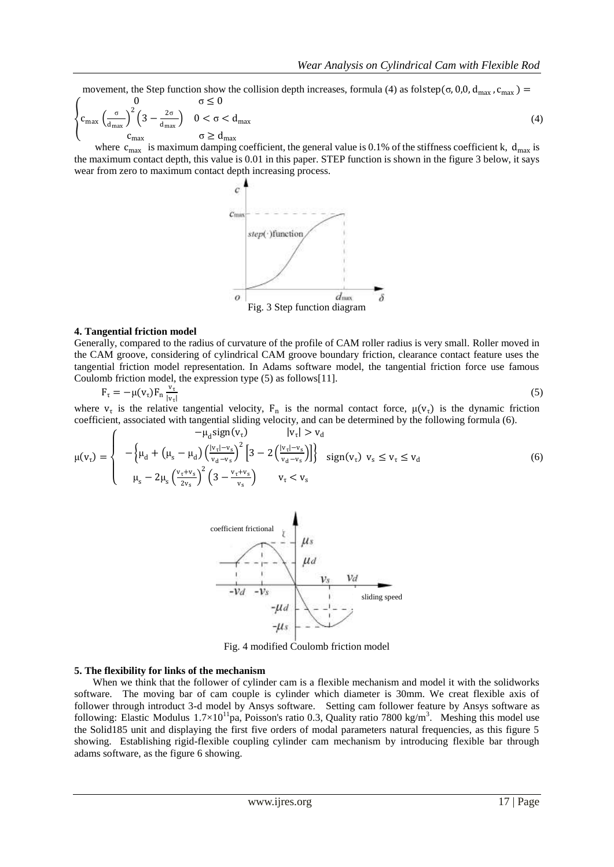movement, the Step function show the collision depth increases, formula (4) as folstep( $\sigma$ , 0,0,  $d_{\text{max}}$ ,  $c_{\text{max}}$ ) =

$$
\begin{cases}\n0 & \sigma \le 0 \\
c_{\max} \left(\frac{\sigma}{d_{\max}}\right)^2 \left(3 - \frac{2\sigma}{d_{\max}}\right) & 0 < \sigma < d_{\max} \\
c_{\max} & \sigma \ge d_{\max}\n\end{cases}
$$
\n(4)

where  $c_{\text{max}}$  is maximum damping coefficient, the general value is 0.1% of the stiffness coefficient k,  $d_{\text{max}}$  is the maximum contact depth, this value is 0.01 in this paper. STEP function is shown in the figure 3 below, it says wear from zero to maximum contact depth increasing process.



#### **4. Tangential friction model**

Generally, compared to the radius of curvature of the profile of CAM roller radius is very small. Roller moved in the CAM groove, considering of cylindrical CAM groove boundary friction, clearance contact feature uses the tangential friction model representation. In Adams software model, the tangential friction force use famous Coulomb friction model, the expression type (5) as follows[11].

$$
F_{\tau} = -\mu(v_{\tau})F_n \frac{v_{\tau}}{|v_{\tau}|}
$$
\n
$$
(5)
$$

where  $v_{\tau}$  is the relative tangential velocity,  $F_n$  is the normal contact force,  $\mu(v_{\tau})$  is the dynamic friction coefficient, associated with tangential sliding velocity, and can be determined by the following formula (6).

$$
\mu(v_{\tau}) = \begin{cases}\n- \mu_{d} \operatorname{sign}(v_{\tau}) & |v_{\tau}| > v_{d} \\
-\left\{ \mu_{d} + \left( \mu_{s} - \mu_{d} \right) \left( \frac{|v_{\tau}| - v_{s}}{v_{d} - v_{s}} \right)^{2} \left[ 3 - 2 \left( \frac{|v_{\tau}| - v_{s}}{v_{d} - v_{s}} \right) \right] \right\} & \operatorname{sign}(v_{\tau}) \ v_{s} \le v_{\tau} \le v_{d} \\
\mu_{s} - 2 \mu_{s} \left( \frac{v_{\tau} + v_{s}}{2v_{s}} \right)^{2} \left( 3 - \frac{v_{\tau} + v_{s}}{v_{s}} \right) & v_{\tau} < v_{s}\n\end{cases}
$$
\n(6)



Fig. 4 modified Coulomb friction model

#### **5. The flexibility for links of the mechanism**

When we think that the follower of cylinder cam is a flexible mechanism and model it with the solidworks software. The moving bar of cam couple is cylinder which diameter is 30mm. We creat flexible axis of follower through introduct 3-d model by Ansys software. Setting cam follower feature by Ansys software as following: Elastic Modulus  $1.7 \times 10^{11}$ pa, Poisson's ratio 0.3, Quality ratio 7800 kg/m<sup>3</sup>. Meshing this model use the Solid185 unit and displaying the first five orders of modal parameters natural frequencies, as this figure 5 showing. [Establishi](http://dict.cnki.net/dict_result.aspx?searchword=%e5%bb%ba%e7%ab%8b&tjType=sentence&style=&t=establish)ng [rigid-flexible coupling](http://dict.cnki.net/dict_result.aspx?searchword=%e5%88%9a%e6%9f%94%e8%80%a6%e5%90%88&tjType=sentence&style=&t=rigid-flexible+coupling) cylinder cam mechanism by introducing flexible bar through adams software, as the figure 6 showing.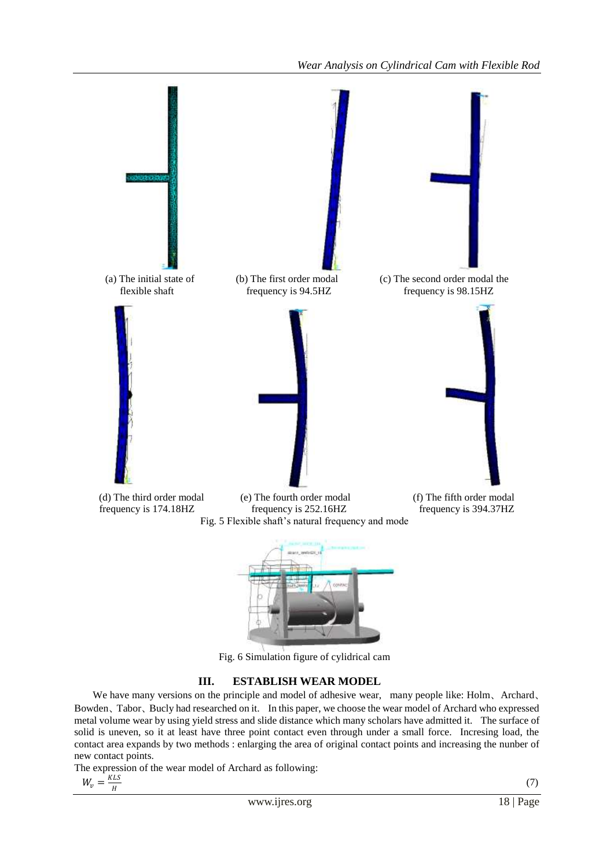

Fig. 6 Simulation figure of cylidrical cam

## **III. ESTABLISH WEAR MODEL**

We have many versions on the [principle](http://dict.cnki.net/dict_result.aspx?searchword=%e5%8e%9f%e7%90%86&tjType=sentence&style=&t=principle) and model of [adhesive wear,](javascript:showjdsw() many people like: Holm、Archard、 Bowden、Tabor、Bucly had researched on it. In this paper, we choose the wear model of Archard who expressed metal volume wear by usin[g yield stress](javascript:showjdsw() an[d slide distance](javascript:showjdsw() which many scholars have admitted it. The surface of solid is uneven, so it at least have three point contact even through under a small force. Incresing load, the contact area expands by two methods : enlarging the area of [original](http://dict.cnki.net/javascript:showjdsw() contact points and increasing the nunber of new contact points.

The expression of the wear model of Archard as following:

$$
W_v = \frac{\text{KLS}}{H}
$$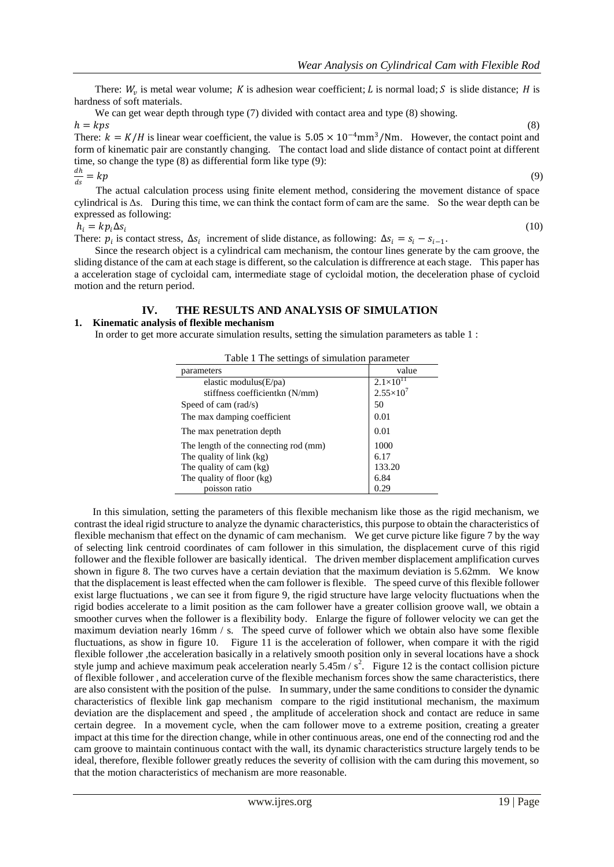There:  $W_v$  is metal wear volume; K is [adhesion](http://dict.cnki.net/dict_result.aspx?searchword=%e9%bb%8f%e7%9d%80&tjType=sentence&style=&t=adhesion) wea[r coefficient;](http://dict.cnki.net/dict_result.aspx?searchword=%e7%b3%bb%e6%95%b0&tjType=sentence&style=&t=coefficient) L i[s normal load;](http://dict.cnki.net/dict_result.aspx?searchword=%e6%b3%95%e5%90%91%e8%bd%bd%e8%8d%b7&tjType=sentence&style=&t=normal+load) S i[s slide distance;](javascript:showjdsw() H is [hardness](http://dict.cnki.net/dict_result.aspx?searchword=%e7%a1%ac%e5%ba%a6&tjType=sentence&style=&t=hardness) of soft materials.

We can get wear depth through type (7) divided with contact area and type (8) showing. 
$$
h = kps
$$
 (8)

There:  $k = K/H$  is linear wear [coefficient,](http://dict.cnki.net/dict_result.aspx?searchword=%e7%b3%bb%e6%95%b0&tjType=sentence&style=&t=coefficient) the [value](http://dict.cnki.net/dict_result.aspx?searchword=%e5%80%bc&tjType=sentence&style=&t=value) is  $5.05 \times 10^{-4}$ mm<sup>3</sup>/Nm. However, the contact point and form of [kinematic pair](http://dict.cnki.net/dict_result.aspx?searchword=%e8%bf%90%e5%8a%a8%e5%89%af&tjType=sentence&style=&t=kinematic+pair) are [constantly changing.](javascript:showjdsw() The contact load and slide distance of contact point [at different](http://dict.cnki.net/dict_result.aspx?searchword=%e5%9c%a8%e4%b8%8d%e5%90%8c%e6%97%b6%e5%88%bb&tjType=sentence&style=&t=at+different+time)  [time,](http://dict.cnki.net/dict_result.aspx?searchword=%e5%9c%a8%e4%b8%8d%e5%90%8c%e6%97%b6%e5%88%bb&tjType=sentence&style=&t=at+different+time) so change the type (8) as [differential form](http://dict.cnki.net/dict_result.aspx?searchword=%e5%be%ae%e5%88%86%e5%bd%a2%e5%bc%8f&tjType=sentence&style=&t=differential+form) like type (9):

$$
\frac{dh}{ds} = kp \tag{9}
$$

The actual calculation process using finite element method, considering the [movement distance](http://dict.cnki.net/dict_result.aspx?searchword=%e8%bf%90%e8%a1%8c%e8%b7%9d%e7%a6%bb&tjType=sentence&style=&t=moving+distance) of space cylindrical is Δs. During this time, we can think the contact form of cam are the same. So the [wear depth](http://dict.cnki.net/dict_result.aspx?searchword=%e7%a3%a8%e6%8d%9f%e6%b7%b1%e5%ba%a6&tjType=sentence&style=&t=wear+depth) can be [expressed](http://dict.cnki.net/dict_result.aspx?searchword=%e8%a1%a8%e7%a4%ba&tjType=sentence&style=&t=expressed) as following:

$$
h_i = k p_i \Delta s_i \tag{10}
$$

There:  $p_i$  is [contact stress,](http://dict.cnki.net/javascript:showjdsw()  $\Delta s_i$  [increment](http://dict.cnki.net/javascript:showjdsw() of [slide distance,](http://dict.cnki.net/javascript:showjdsw() as following:  $\Delta s_i = s_i - s_{i-1}$ .

Since the [research object](http://dict.cnki.net/dict_result.aspx?searchword=%e7%a0%94%e7%a9%b6%e5%af%b9%e8%b1%a1&tjType=sentence&style=&t=research+object) is a cylindrical cam mechanism, the contour lines generate by the cam groove, the sliding distance of the cam at each stage is different, so the calculation is diffrerence at each stage. This paper has a acceleration stage of cycloidal cam, intermediate stage of cycloidal motion, the deceleration phase of cycloid motion and the return period.

## **IV. THE RESULTS AND ANALYSIS OF SIMULATION**

#### **1. Kinematic analysis of flexible mechanism**

In order to get more accurate simulation results, setting the simulation parameters as table 1 :

| Table 1 The settings of simulation parameter |                      |
|----------------------------------------------|----------------------|
| parameters                                   | value                |
| elastic modulus $(E/pa)$                     | $2.1 \times 10^{11}$ |
| stiffness coefficient kn (N/mm)              | $2.55 \times 10^{7}$ |
| Speed of cam (rad/s)                         | 50                   |
| The max damping coefficient                  | 0.01                 |
| The max penetration depth.                   | 0.01                 |
| The length of the connecting rod (mm)        | 1000                 |
| The quality of link (kg)                     | 6.17                 |
| The quality of cam (kg)                      | 133.20               |
| The quality of floor (kg)                    | 6.84                 |
| poisson ratio                                | 0.29                 |

In this simulation, setting the parameters of this flexible mechanism like those as the rigid mechanism, we contrast the ideal rigid structure to analyze the dynamic characteristics, this purpose to obtain the characteristics of flexible mechanism that effect on the dynamic of cam mechanism. We ge[t curve](http://dict.cnki.net/javascript:showjdsw() picture like figure 7 by the way of selecting link centroid coordinates of cam follower in this simulation, the displacement curve of this rigid follower and the flexible follower are [basically identical.](http://dict.cnki.net/javascript:showjdsw() The driven member displacement amplification curves shown in figure 8. The two curves have a certain deviation that the maximum deviation is 5.62mm. We know that the displacement is least effected when the cam follower is flexible. The speed curve of this flexible follower exist large fluctuations , we can see it from figure 9, the rigid structure have large velocity fluctuations when the rigid bodies accelerate to a limit position as the cam follower have a greater collision groove wall, we obtain a smoother curves when the follower is a flexibility body. Enlarge the figure of follower velocity we can get the maximum deviation nearly 16mm / s. The speed curve of follower which we obtain also have some flexible fluctuations, as show in figure 10. Figure 11 is the acceleration of follower, when compare it with the rigid flexible follower ,the acceleration basically in a relatively smooth position only in several locations have a shock style jump and achieve maximum peak acceleration nearly  $5.45 \text{m/s}^2$ . Figure 12 is the contact collision picture of flexible follower , and acceleration curve of the flexible mechanism forces show the same characteristics, there are also consistent with the position of the pulse. In summary, under the same conditions to consider the dynamic characteristics of flexible link gap mechanism compare to the rigid institutional mechanism, the maximum deviation are the displacement and speed , the amplitude of acceleration [shock](http://dict.cnki.net/dict_result.aspx?searchword=%e9%9c%87%e8%8d%a1&tjType=sentence&style=&t=shock) and contact are reduce in same certain degree. In a movement cycle, when the cam follower move to a extreme position, creating a greater impact at this time for the direction change, while in other continuous areas, one end of the connecting rod and the cam groove to maintain continuous contact with the wall, its [dynamic characteristics](http://dict.cnki.net/javascript:showjdsw() structure largely tends to be ideal, therefore, flexible follower greatly reduces the severity of collision with the cam during this movement, so that the motion characteristics of mechanism are more reasonable.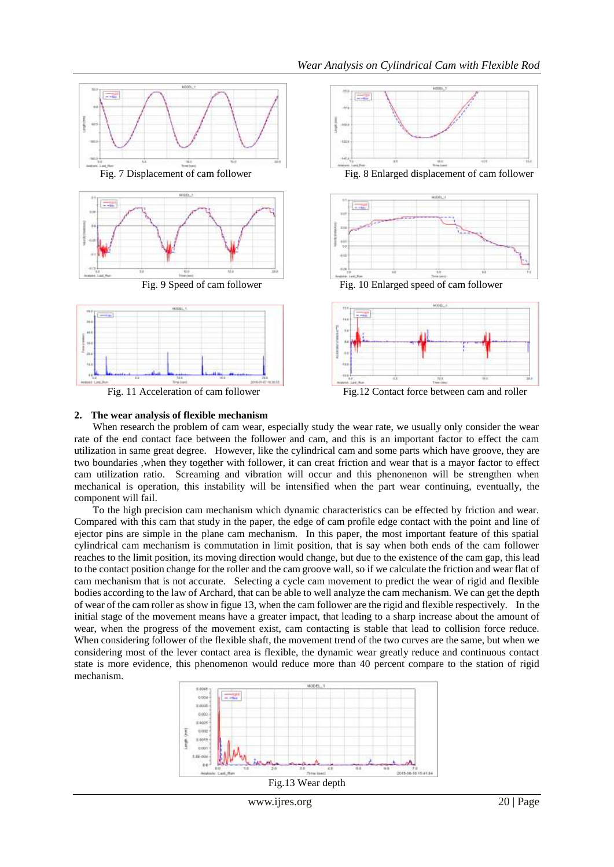

#### **2. The wear analysis of flexible mechanism**

When research the problem of cam wear, especially study the wear rate, we usually only consider the wear rate of the end contact face between the follower and cam, and this is an important factor to effect the cam utilization [in same great degree.](javascript:showjdsw() However, like the cylindrical cam and some parts which have [groove,](javascript:showjdsw() they are two [boundaries](http://dict.cnki.net/dict_result.aspx?searchword=%e8%be%b9%e7%95%8c&tjType=sentence&style=&t=boundaries) ,when they together with follower, it can creat [friction and wear](javascript:showjdsw() that is a mayor factor to effect cam [utilization ratio.](javascript:showjdsw() Screaming and vibration will occur and this phenonenon will be strengthen when mechanical is operation, this instability will be intensified when the part wear continuing, eventually, the component will fail.

To the high precision cam mechanism which dynamic characteristics can be effected by friction and wear. Compared with this cam that study in the paper, the edge of cam profile edge contact with the point and line of ejector pins are simple in the plane cam mechanism. In this paper, the most important feature of this spatial cylindrical cam mechanism is commutation in limit position, that is say when both ends of the cam follower reaches to the limit position, its moving direction would change, but due to the [existence](http://dict.cnki.net/dict_result.aspx?searchword=%e5%ad%98%e5%9c%a8&tjType=sentence&style=&t=existence) of the cam gap, this lead to the contact position change for the roller and the cam groove wall, so if we calculate the friction and wear flat of cam mechanism that is not accurate. Selecting a cycle cam movement to predict the wear of rigid and flexible bodies according to the law of Archard, that can be able to well analyze the cam mechanism. We can get the depth of wear of the cam roller as show in figue 13, when the cam follower are the rigid and flexible respectively. In the initial stage of the movement means have a greater impact, that leading to a sharp increase about the amount of wear, when the progress of the movement [exist,](http://dict.cnki.net/dict_result.aspx?searchword=%e5%ad%98%e5%9c%a8&tjType=sentence&style=&t=exist) cam contacting is stable that lead to collision force reduce. When considering follower of the flexible shaft, the movement trend of the two curves are the same, but when we considering most of the lever contact area is flexible, the dynamic wear greatly reduce and continuous contact state is more evidence, this phenomenon would reduce more than 40 percent compare to the station of rigid mechanism.



www.ijres.org 20 | Page